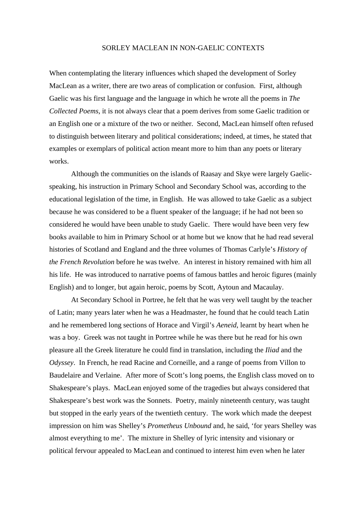#### SORLEY MACLEAN IN NON-GAELIC CONTEXTS

When contemplating the literary influences which shaped the development of Sorley MacLean as a writer, there are two areas of complication or confusion. First, although Gaelic was his first language and the language in which he wrote all the poems in *The Collected Poems*, it is not always clear that a poem derives from some Gaelic tradition or an English one or a mixture of the two or neither. Second, MacLean himself often refused to distinguish between literary and political considerations; indeed, at times, he stated that examples or exemplars of political action meant more to him than any poets or literary works.

Although the communities on the islands of Raasay and Skye were largely Gaelicspeaking, his instruction in Primary School and Secondary School was, according to the educational legislation of the time, in English. He was allowed to take Gaelic as a subject because he was considered to be a fluent speaker of the language; if he had not been so considered he would have been unable to study Gaelic. There would have been very few books available to him in Primary School or at home but we know that he had read several histories of Scotland and England and the three volumes of Thomas Carlyle's *History of the French Revolution* before he was twelve. An interest in history remained with him all his life. He was introduced to narrative poems of famous battles and heroic figures (mainly English) and to longer, but again heroic, poems by Scott, Aytoun and Macaulay.

 At Secondary School in Portree, he felt that he was very well taught by the teacher of Latin; many years later when he was a Headmaster, he found that he could teach Latin and he remembered long sections of Horace and Virgil's *Aeneid*, learnt by heart when he was a boy. Greek was not taught in Portree while he was there but he read for his own pleasure all the Greek literature he could find in translation, including the *Iliad* and the *Odyssey*. In French, he read Racine and Corneille, and a range of poems from Villon to Baudelaire and Verlaine. After more of Scott's long poems, the English class moved on to Shakespeare's plays. MacLean enjoyed some of the tragedies but always considered that Shakespeare's best work was the Sonnets. Poetry, mainly nineteenth century, was taught but stopped in the early years of the twentieth century. The work which made the deepest impression on him was Shelley's *Prometheus Unbound* and, he said, 'for years Shelley was almost everything to me'. The mixture in Shelley of lyric intensity and visionary or political fervour appealed to MacLean and continued to interest him even when he later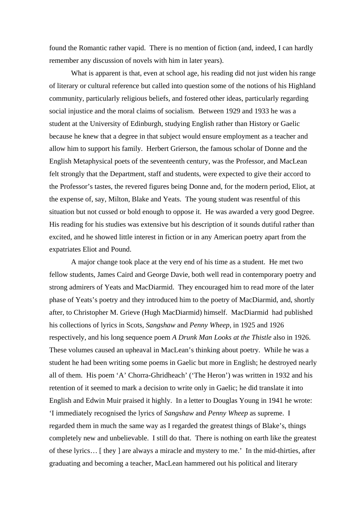found the Romantic rather vapid. There is no mention of fiction (and, indeed, I can hardly remember any discussion of novels with him in later years).

 What is apparent is that, even at school age, his reading did not just widen his range of literary or cultural reference but called into question some of the notions of his Highland community, particularly religious beliefs, and fostered other ideas, particularly regarding social injustice and the moral claims of socialism. Between 1929 and 1933 he was a student at the University of Edinburgh, studying English rather than History or Gaelic because he knew that a degree in that subject would ensure employment as a teacher and allow him to support his family. Herbert Grierson, the famous scholar of Donne and the English Metaphysical poets of the seventeenth century, was the Professor, and MacLean felt strongly that the Department, staff and students, were expected to give their accord to the Professor's tastes, the revered figures being Donne and, for the modern period, Eliot, at the expense of, say, Milton, Blake and Yeats. The young student was resentful of this situation but not cussed or bold enough to oppose it. He was awarded a very good Degree. His reading for his studies was extensive but his description of it sounds dutiful rather than excited, and he showed little interest in fiction or in any American poetry apart from the expatriates Eliot and Pound.

 A major change took place at the very end of his time as a student. He met two fellow students, James Caird and George Davie, both well read in contemporary poetry and strong admirers of Yeats and MacDiarmid. They encouraged him to read more of the later phase of Yeats's poetry and they introduced him to the poetry of MacDiarmid, and, shortly after, to Christopher M. Grieve (Hugh MacDiarmid) himself. MacDiarmid had published his collections of lyrics in Scots, *Sangshaw* and *Penny Wheep,* in 1925 and 1926 respectively, and his long sequence poem *A Drunk Man Looks at the Thistle* also in 1926. These volumes caused an upheaval in MacLean's thinking about poetry. While he was a student he had been writing some poems in Gaelic but more in English; he destroyed nearly all of them. His poem 'A' Chorra-Ghridheach' ('The Heron') was written in 1932 and his retention of it seemed to mark a decision to write only in Gaelic; he did translate it into English and Edwin Muir praised it highly. In a letter to Douglas Young in 1941 he wrote: 'I immediately recognised the lyrics of *Sangshaw* and *Penny Wheep* as supreme. I regarded them in much the same way as I regarded the greatest things of Blake's, things completely new and unbelievable. I still do that. There is nothing on earth like the greatest of these lyrics… [ they ] are always a miracle and mystery to me.' In the mid-thirties, after graduating and becoming a teacher, MacLean hammered out his political and literary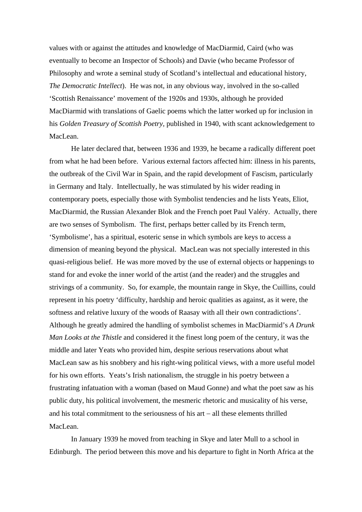values with or against the attitudes and knowledge of MacDiarmid, Caird (who was eventually to become an Inspector of Schools) and Davie (who became Professor of Philosophy and wrote a seminal study of Scotland's intellectual and educational history, *The Democratic Intellect*). He was not, in any obvious way, involved in the so-called 'Scottish Renaissance' movement of the 1920s and 1930s, although he provided MacDiarmid with translations of Gaelic poems which the latter worked up for inclusion in his *Golden Treasury of Scottish Poetry,* published in 1940, with scant acknowledgement to MacLean.

 He later declared that, between 1936 and 1939, he became a radically different poet from what he had been before. Various external factors affected him: illness in his parents, the outbreak of the Civil War in Spain, and the rapid development of Fascism, particularly in Germany and Italy. Intellectually, he was stimulated by his wider reading in contemporary poets, especially those with Symbolist tendencies and he lists Yeats, Eliot, MacDiarmid, the Russian Alexander Blok and the French poet Paul Valéry. Actually, there are two senses of Symbolism. The first, perhaps better called by its French term, 'Symbolisme', has a spiritual, esoteric sense in which symbols are keys to access a dimension of meaning beyond the physical. MacLean was not specially interested in this quasi-religious belief. He was more moved by the use of external objects or happenings to stand for and evoke the inner world of the artist (and the reader) and the struggles and strivings of a community. So, for example, the mountain range in Skye, the Cuillins, could represent in his poetry 'difficulty, hardship and heroic qualities as against, as it were, the softness and relative luxury of the woods of Raasay with all their own contradictions'. Although he greatly admired the handling of symbolist schemes in MacDiarmid's *A Drunk Man Looks at the Thistle* and considered it the finest long poem of the century, it was the middle and later Yeats who provided him, despite serious reservations about what MacLean saw as his snobbery and his right-wing political views, with a more useful model for his own efforts. Yeats's Irish nationalism, the struggle in his poetry between a frustrating infatuation with a woman (based on Maud Gonne) and what the poet saw as his public duty, his political involvement, the mesmeric rhetoric and musicality of his verse, and his total commitment to the seriousness of his art − all these elements thrilled MacLean.

 In January 1939 he moved from teaching in Skye and later Mull to a school in Edinburgh. The period between this move and his departure to fight in North Africa at the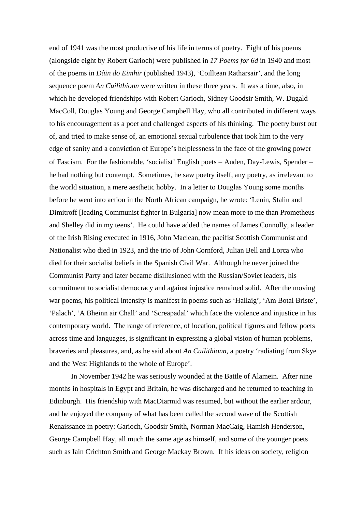end of 1941 was the most productive of his life in terms of poetry. Eight of his poems (alongside eight by Robert Garioch) were published in *17 Poems for 6d* in 1940 and most of the poems in *Dàin do Eimhir* (published 1943), 'Coilltean Ratharsair', and the long sequence poem *An Cuilithionn* were written in these three years. It was a time, also, in which he developed friendships with Robert Garioch, Sidney Goodsir Smith, W. Dugald MacColl, Douglas Young and George Campbell Hay, who all contributed in different ways to his encouragement as a poet and challenged aspects of his thinking. The poetry burst out of, and tried to make sense of, an emotional sexual turbulence that took him to the very edge of sanity and a conviction of Europe's helplessness in the face of the growing power of Fascism. For the fashionable, 'socialist' English poets − Auden, Day-Lewis, Spender − he had nothing but contempt. Sometimes, he saw poetry itself, any poetry, as irrelevant to the world situation, a mere aesthetic hobby. In a letter to Douglas Young some months before he went into action in the North African campaign, he wrote: 'Lenin, Stalin and Dimitroff [leading Communist fighter in Bulgaria] now mean more to me than Prometheus and Shelley did in my teens'. He could have added the names of James Connolly, a leader of the Irish Rising executed in 1916, John Maclean, the pacifist Scottish Communist and Nationalist who died in 1923, and the trio of John Cornford, Julian Bell and Lorca who died for their socialist beliefs in the Spanish Civil War. Although he never joined the Communist Party and later became disillusioned with the Russian/Soviet leaders, his commitment to socialist democracy and against injustice remained solid. After the moving war poems, his political intensity is manifest in poems such as 'Hallaig', 'Am Botal Briste', 'Palach', 'A Bheinn air Chall' and 'Screapadal' which face the violence and injustice in his contemporary world. The range of reference, of location, political figures and fellow poets across time and languages, is significant in expressing a global vision of human problems, braveries and pleasures, and, as he said about *An Cuilithionn*, a poetry 'radiating from Skye and the West Highlands to the whole of Europe'.

 In November 1942 he was seriously wounded at the Battle of Alamein. After nine months in hospitals in Egypt and Britain, he was discharged and he returned to teaching in Edinburgh. His friendship with MacDiarmid was resumed, but without the earlier ardour, and he enjoyed the company of what has been called the second wave of the Scottish Renaissance in poetry: Garioch, Goodsir Smith, Norman MacCaig, Hamish Henderson, George Campbell Hay, all much the same age as himself, and some of the younger poets such as Iain Crichton Smith and George Mackay Brown. If his ideas on society, religion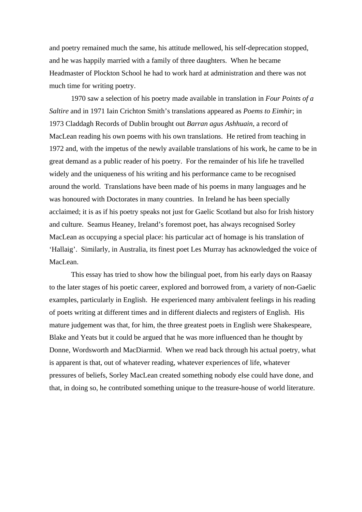and poetry remained much the same, his attitude mellowed, his self-deprecation stopped, and he was happily married with a family of three daughters. When he became Headmaster of Plockton School he had to work hard at administration and there was not much time for writing poetry.

 1970 saw a selection of his poetry made available in translation in *Four Points of a Saltire* and in 1971 Iain Crichton Smith's translations appeared as *Poems to Eimhir*; in 1973 Claddagh Records of Dublin brought out *Barran agus Ashhuain*, a record of MacLean reading his own poems with his own translations. He retired from teaching in 1972 and, with the impetus of the newly available translations of his work, he came to be in great demand as a public reader of his poetry. For the remainder of his life he travelled widely and the uniqueness of his writing and his performance came to be recognised around the world. Translations have been made of his poems in many languages and he was honoured with Doctorates in many countries. In Ireland he has been specially acclaimed; it is as if his poetry speaks not just for Gaelic Scotland but also for Irish history and culture. Seamus Heaney, Ireland's foremost poet, has always recognised Sorley MacLean as occupying a special place: his particular act of homage is his translation of 'Hallaig'. Similarly, in Australia, its finest poet Les Murray has acknowledged the voice of MacLean.

 This essay has tried to show how the bilingual poet, from his early days on Raasay to the later stages of his poetic career, explored and borrowed from, a variety of non-Gaelic examples, particularly in English. He experienced many ambivalent feelings in his reading of poets writing at different times and in different dialects and registers of English. His mature judgement was that, for him, the three greatest poets in English were Shakespeare, Blake and Yeats but it could be argued that he was more influenced than he thought by Donne, Wordsworth and MacDiarmid. When we read back through his actual poetry, what is apparent is that, out of whatever reading, whatever experiences of life, whatever pressures of beliefs, Sorley MacLean created something nobody else could have done, and that, in doing so, he contributed something unique to the treasure-house of world literature.